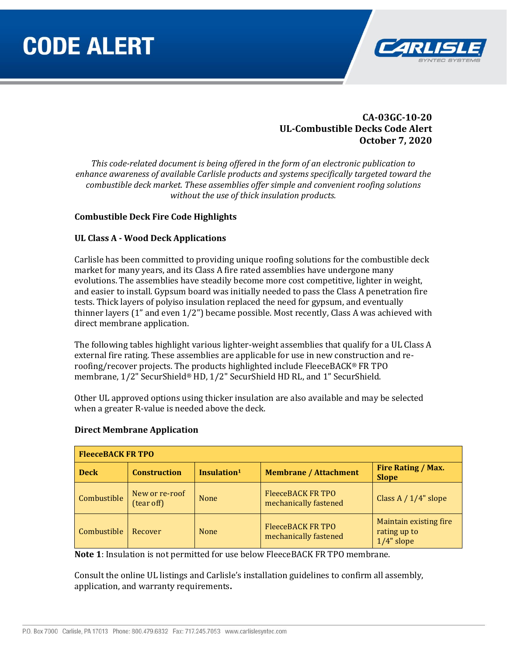# **CODE ALERT**



## **CA-03GC-10-20 UL-Combustible Decks Code Alert October 7, 2020**

*This code-related document is being offered in the form of an electronic publication to enhance awareness of available Carlisle products and systems specifically targeted toward the combustible deck market. These assemblies offer simple and convenient roofing solutions without the use of thick insulation products.*

### **Combustible Deck Fire Code Highlights**

### **UL Class A - Wood Deck Applications**

Carlisle has been committed to providing unique roofing solutions for the combustible deck market for many years, and its Class A fire rated assemblies have undergone many evolutions. The assemblies have steadily become more cost competitive, lighter in weight, and easier to install. Gypsum board was initially needed to pass the Class A penetration fire tests. Thick layers of polyiso insulation replaced the need for gypsum, and eventually thinner layers (1" and even 1/2") became possible. Most recently, Class A was achieved with direct membrane application.

The following tables highlight various lighter-weight assemblies that qualify for a UL Class A external fire rating. These assemblies are applicable for use in new construction and reroofing/recover projects. The products highlighted include FleeceBACK® FR TPO membrane, 1/2" SecurShield® HD, 1/2" SecurShield HD RL, and 1" SecurShield.

Other UL approved options using thicker insulation are also available and may be selected when a greater R-value is needed above the deck.

| <b>FleeceBACK FR TPO</b> |                              |                         |                                                   |                                                         |  |  |  |
|--------------------------|------------------------------|-------------------------|---------------------------------------------------|---------------------------------------------------------|--|--|--|
| <b>Deck</b>              | <b>Construction</b>          | Insulation <sup>1</sup> | <b>Membrane / Attachment</b>                      | Fire Rating / Max.<br><b>Slope</b>                      |  |  |  |
| Combustible              | New or re-roof<br>(tear off) | None                    | FleeceBACK FR TPO<br>mechanically fastened        | Class A $/ 1/4$ " slope                                 |  |  |  |
| Combustible              | Recover                      | None                    | <b>FleeceBACK FR TPO</b><br>mechanically fastened | Maintain existing fire<br>rating up to<br>$1/4$ " slope |  |  |  |

#### **Direct Membrane Application**

**Note 1**: Insulation is not permitted for use below FleeceBACK FR TPO membrane.

Consult the online UL listings and Carlisle's installation guidelines to confirm all assembly, application, and warranty requirements**.**